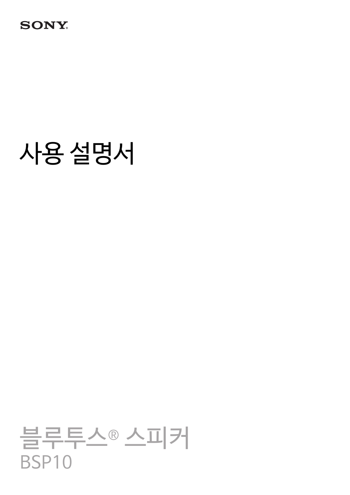## **SONY**

# 사용 설명서

# 블루투스® 스피커 BSP10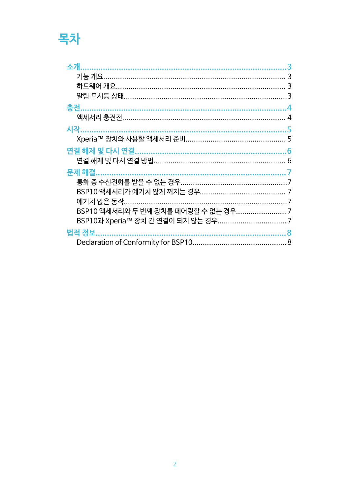# 목차

| 소개                                | 3 |
|-----------------------------------|---|
|                                   | 3 |
|                                   | 3 |
|                                   |   |
| 충전                                | 4 |
|                                   |   |
| 시작.                               | 5 |
|                                   |   |
|                                   |   |
|                                   |   |
| 문제 해결.                            |   |
|                                   |   |
|                                   |   |
| 예기치 않은 동작                         |   |
| BSP10 액세서리와 두 번째 장치를 페어링할 수 없는 경우 |   |
|                                   |   |
| 법적 정보                             |   |
|                                   |   |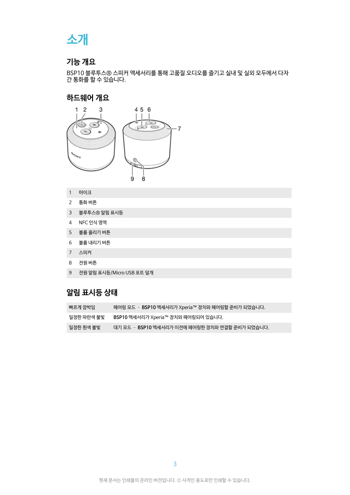## <span id="page-2-0"></span>**소개**

### **기능 개요**

BSP10 블루투스® 스피커 액세서리를 통해 고품질 오디오를 즐기고 실내 및 실외 모두에서 다자 간 통화를 할 수 있습니다.

### **하드웨어 개요**



- 1 마이크
- 2 통화 버튼
- 3 블루투스® 알림 표시등
- 4 NFC 인식 영역
- 5 볼륨 올리기 버튼
- 6 볼륨 내리기 버튼
- 
- 7 스피커
- 
- 8 전원 버튼
- 9 전원 알림 표시등/Micro USB 포트 덮개

### **알림 표시등 상태**

| 빠르게 깜박임    | 페어링 모드 ‐ BSP10 액세서리가 Xperia™ 장치와 페어링할 준비가 되었습니다. |
|------------|--------------------------------------------------|
| 일정한 파란색 불빟 | BSP10 액세서리가 Xperia™ 장치와 페어링되어 있습니다.              |
| 일정한 흰색 불빟  | 대기 모드 - BSP10 액세서리가 이전에 페어링한 장치와 연결할 준비가 되었습니다.  |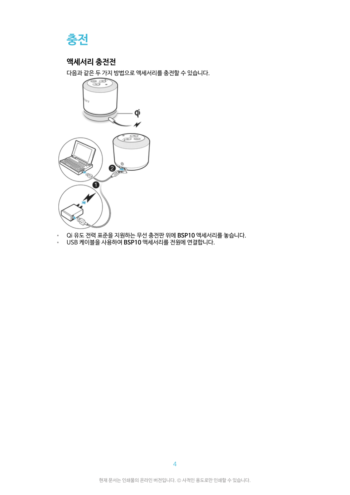<span id="page-3-0"></span>

### **액세서리 충전전**

다음과 같은 두 가지 방법으로 액세서리를 충전할 수 있습니다.



- Qi 유도 전력 표준을 지원하는 무선 충전판 위에 **BSP10** 액세서리를 놓습니다.
- USB 케이블을 사용하여 **BSP10** 액세서리를 전원에 연결합니다.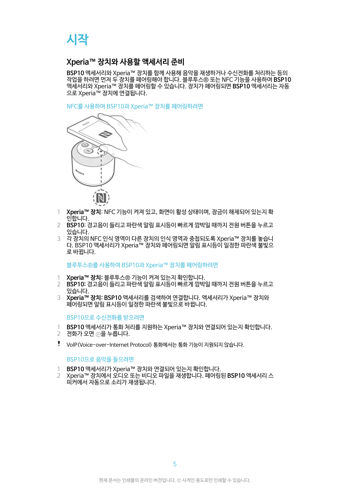# <span id="page-4-0"></span>**시작**

### **Xperia™ 장치와 사용할 액세서리 준비**

**BSP10** 액세서리와 Xperia™ 장치를 함께 사용해 음악을 재생하거나 수신전화를 처리하는 등의 작업을 하려면 먼저 두 장치를 페어링해야 합니다. 블루투스® 또는 NFC 기능을 사용하여 **BSP10** 액세서리와 Xperia™ 장치를 페어링할 수 있습니다. 장치가 페어링되면 **BSP10** 액세서리는 자동 으로 Xperia™ 장치에 연결됩니다.

NFC를 사용하여 BSP10과 Xperia™ 장치를 페어링하려면



- 1 **Xperia™ 장치**: NFC 기능이 켜져 있고, 화면이 활성 상태이며, 잠금이 해제되어 있는지 확 인합니다.
- 2 **BSP10**: 경고음이 들리고 파란색 알림 표시등이 빠르게 깜박일 때까지 전원 버튼을 누르고 있습니다.
- 3 각 장치의 NFC 인식 영역이 다른 장치의 인식 영역과 중첩되도록 Xperia™ 장치를 놓습니 다. BSP10 액세서리가 Xperia™ 장치와 페어링되면 알림 표시등이 일정한 파란색 불빛으 로 바뀝니다.

블루투스®를 사용하여 BSP10과 Xperia™ 장치를 페어링하려면

- 1 **Xperia™ 장치:** 블루투스® 기능이 켜져 있는지 확인합니다.
- 2 **BSP10:** 경고음이 들리고 파란색 알림 표시등이 빠르게 깜박일 때까지 전원 버튼을 누르고 있습니다.
- 3 **Xperia™ 장치: BSP10** 액세서리를 검색하여 연결합니다. 액세서리가 Xperia™ 장치와 페어링되면 알림 표시등이 일정한 파란색 불빛으로 바뀝니다.

#### BSP10으로 수신전화를 받으려면

- 1 **BSP10** 액세서리가 통화 처리를 지원하는 Xperia™ 장치와 연결되어 있는지 확인합니다.
- 2 전화가 오면 ⊙을 누릅니다.
- VoIP(Voice-over-Internet Protocol) 통화에서는 통화 기능이 지원되지 않습니다.

#### BSP10으로 음악을 들으려면

- 1 **BSP10** 액세서리가 Xperia™ 장치와 연결되어 있는지 확인합니다.
- 2 Xperia™ 장치에서 오디오 또는 비디오 파일을 재생합니다. 페어링된 **BSP10** 액세서리 스 피커에서 자동으로 소리가 재생됩니다.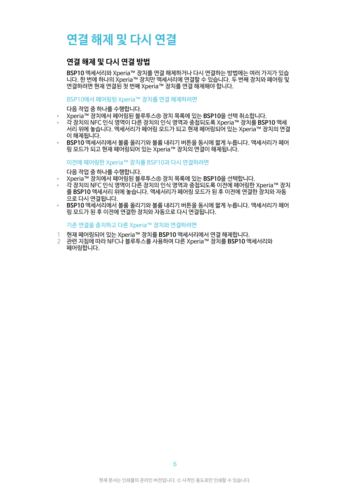# <span id="page-5-0"></span>**연결 해제 및 다시 연결**

### **연결 해제 및 다시 연결 방법**

**BSP10** 액세서리와 Xperia™ 장치를 연결 해제하거나 다시 연결하는 방법에는 여러 가지가 있습 니다. 한 번에 하나의 Xperia™ 장치만 액세서리에 연결할 수 있습니다. 두 번째 장치와 페어링 및 연결하려면 현재 연결된 첫 번째 Xperia™ 장치를 연결 해제해야 합니다.

#### BSP10에서 페어링된 Xperia™ 장치를 연결 해제하려면

다음 작업 중 하나를 수행합니다.

- Xperia™ 장치에서 페어링된 블루투스® 장치 목록에 있는 **BSP10**을 선택 취소합니다.
- 각 장치의 NFC 인식 영역이 다른 장치의 인식 영역과 중첩되도록 Xperia™ 장치를 **BSP10** 액세 서리 위에 놓습니다. 액세서리가 페어링 모드가 되고 현재 페어링되어 있는 Xperia™ 장치의 연결 이 해제됩니다.
- **BSP10** 액세서리에서 볼륨 올리기와 볼륨 내리기 버튼을 동시에 짧게 누릅니다. 액세서리가 페어 링 모드가 되고 현재 페어링되어 있는 Xperia™ 장치의 연결이 해제됩니다.

이전에 페어링한 Xperia™ 장치를 BSP10과 다시 연결하려면

다음 작업 중 하나를 수행합니다.

- Xperia™ 장치에서 페어링된 블루투스® 장치 목록에 있는 **BSP10**을 선택합니다.
- 각 장치의 NFC 인식 영역이 다른 장치의 인식 영역과 중첩되도록 이전에 페어링한 Xperia™ 장치 를 **BSP10** 액세서리 위에 놓습니다. 액세서리가 페어링 모드가 된 후 이전에 연결한 장치와 자동 으로 다시 연결됩니다.
- **BSP10** 액세서리에서 볼륨 올리기와 볼륨 내리기 버튼을 동시에 짧게 누릅니다. 액세서리가 페어 링 모드가 된 후 이전에 연결한 장치와 자동으로 다시 연결됩니다.

기존 연결을 중지하고 다른 Xperia™ 장치와 연결하려면

- 1 현재 페어링되어 있는 Xperia™ 장치를 **BSP10** 액세서리에서 연결 해제합니다.
- 2 관련 지침에 따라 NFC나 블루투스를 사용하여 다른 Xperia™ 장치를 **BSP10** 액세서리와 페어링합니다.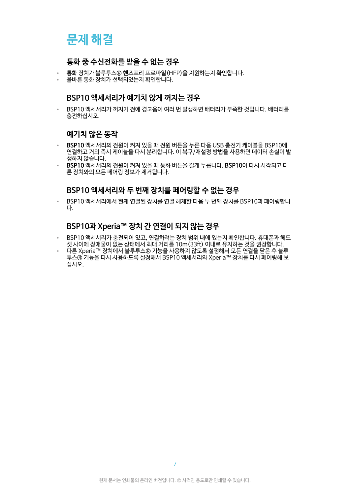# <span id="page-6-0"></span>**문제 해결**

### **통화 중 수신전화를 받을 수 없는 경우**

- 통화 장치가 블루투스® 핸즈프리 프로파일(HFP)을 지원하는지 확인합니다.
- 올바른 통화 장치가 선택되었는지 확인합니다.

### **BSP10 액세서리가 예기치 않게 꺼지는 경우**

• BSP10 액세서리가 꺼지기 전에 경고음이 여러 번 발생하면 배터리가 부족한 것입니다. 배터리를 충전하십시오.

### **예기치 않은 동작**

- **BSP10** 액세서리의 전원이 켜져 있을 때 전원 버튼을 누른 다음 USB 충전기 케이블을 BSP10에 연결하고 거의 즉시 케이블을 다시 분리합니다. 이 복구/재설정 방법을 사용하면 데이터 손실이 발 생하지 않습니다.
- **BSP10** 액세서리의 전원이 켜져 있을 때 통화 버튼을 길게 누릅니다. **BSP10**이 다시 시작되고 다 른 장치와의 모든 페어링 정보가 제거됩니다.

### **BSP10 액세서리와 두 번째 장치를 페어링할 수 없는 경우**

• BSP10 액세서리에서 현재 연결된 장치를 연결 해제한 다음 두 번째 장치를 BSP10과 페어링합니 다.

### **BSP10과 Xperia™ 장치 간 연결이 되지 않는 경우**

- BSP10 액세서리가 충전되어 있고, 연결하려는 장치 범위 내에 있는지 확인합니다. 휴대폰과 헤드 셋 사이에 장애물이 없는 상태에서 최대 거리를 10m(33ft) 이내로 유지하는 것을 권장합니다.
- 다른 Xperia™ 장치에서 블루투스® 기능을 사용하지 않도록 설정해서 모든 연결을 닫은 후 블루 투스® 기능을 다시 사용하도록 설정해서 BSP10 액세서리와 Xperia™ 장치를 다시 페어링해 보 십시오.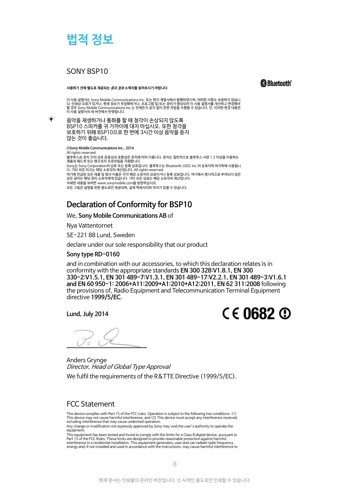<span id="page-7-0"></span>

### SONY BSP10

÷,

**사용하기 전에 별도로 제공되는 중요 정보 소책자를 읽어보시기 바랍니다.**

**&Bluetooth** 

이 사용 설명서는 Sony Mobile Communications Inc. 또는 현지 계열사에서 발행하였으며, 어떠한 사항도 보증하지 않습니<br>다. 인쇄상 오류가 있거나, 현재 정보가 부정확하거나, 프로그램 및/또는 장비가 항상되어 이 사용 설명서를 개선하고 변경해야<br>할 경우 Sony Mobile Communications Inc.는 언제든지 공지 없이 관련 작업을 수행할 수 있습니다. 단, 이 이 사용 설명서의 새 버전에서 반영됩니다.

음악을 재생하거나 통화를 할 때 청각이 손상되지 않도록 BSP10 스피커를 귀 가까이에 대지 마십시오. 또한 청각을 보호하기 위해 BSP10으로 한 번에 3시간 이상 음악을 듣지 않는 것이 좋습니다.

**©Sony Mobile Communications Inc., 2014** All rights reserved. -------------------------<br>블루투스® 장치 간의 상호 운용성과 호환성은 장치에 따라 다릅니다. 장치는 일반적으로 블루투스 사양 1.2 이상을 이용하는

제품과 헤드셋 또는 핸즈프리 프로파일을 지원합니다.<br>Sony는 Sony Corporation의 상표 또는 등록 상표입니다. 블루투스는 Bluetooth (SIG) Inc.의 상표이며 허가하에 사용됩니<br>다. 기타 모든 마크는 해당 소유자의 재산입니다. All rights reserved.

여기에 언급된 모든 제품 및 회사 이름은 각각 해당 소유자의 상표이거나 등록 상표입니다. 여기에서 명시적으로 부여되지 않은<br>모든 권리는 해당 권리 소유자에게 있습니다. 기타 모든 상표는 해당 소유자의 재산입니다. 자세한 내용을 보려면 [www.sonymobile.com](http://www.sonymobile.com)을 방문하십시오.

모든 그림은 설명을 위한 용도로만 제공되며, 실제 액세서리와 차이가 있을 수 있습니다.

### **Declaration of Conformity for BSP10**

#### We, **Sony Mobile Communications AB** of

Nya Vattentornet

SE-221 88 Lund, Sweden

declare under our sole responsibility that our product

#### **Sony type RD-0160**

and in combination with our accessories, to which this declaration relates is in conformity with the appropriate standards **EN 300 328:V1.8.1, EN 300 330-2:V1.5.1, EN 301 489-7:V1.3.1, EN 301 489-17:V2.2.1, EN 301 489-3:V1.6.1 and EN 60 950-1: 2006+A11:2009+A1:2010+A12:2011, EN 62 311:2008** following the provisions of, Radio Equipment and Telecommunication Terminal Equipment directive **1999/5/EC**.

**Lund, July 2014**



Anders Grynge Director, Head of Global Type Approval We fulfil the requirements of the R&TTE Directive (1999/5/EC).

### FCC Statement

This device complies with Part 15 of the FCC rules. Operation is subject to the following two conditions: (1) This device may not cause harmful interference, and (2) This device must accept any interference received, including interference that may cause undesired operation.

Any change or modification not expressly approved by Sony may void the user's authority to operate the equipment.

This equipment has been tested and found to comply with the limits for a Class B digital device, pursuant to Part 15 of the FCC Rules. These limits are designed to provide reasonable protection against harmful interference in a residential installation. This equipment generates, uses and can radiate radio frequency energy and, if not installed and used in accordance with the instructions, may cause harmful interference to